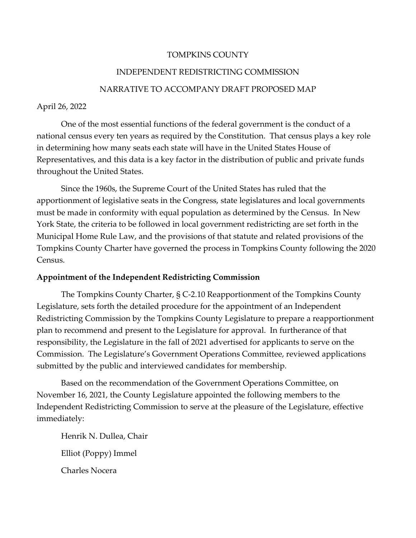### TOMPKINS COUNTY

## INDEPENDENT REDISTRICTING COMMISSION

## NARRATIVE TO ACCOMPANY DRAFT PROPOSED MAP

## April 26, 2022

One of the most essential functions of the federal government is the conduct of a national census every ten years as required by the Constitution. That census plays a key role in determining how many seats each state will have in the United States House of Representatives, and this data is a key factor in the distribution of public and private funds throughout the United States.

Since the 1960s, the Supreme Court of the United States has ruled that the apportionment of legislative seats in the Congress, state legislatures and local governments must be made in conformity with equal population as determined by the Census. In New York State, the criteria to be followed in local government redistricting are set forth in the Municipal Home Rule Law, and the provisions of that statute and related provisions of the Tompkins County Charter have governed the process in Tompkins County following the 2020 Census.

## **Appointment of the Independent Redistricting Commission**

The Tompkins County Charter, § C-2.10 Reapportionment of the Tompkins County Legislature, sets forth the detailed procedure for the appointment of an Independent Redistricting Commission by the Tompkins County Legislature to prepare a reapportionment plan to recommend and present to the Legislature for approval. In furtherance of that responsibility, the Legislature in the fall of 2021 advertised for applicants to serve on the Commission. The Legislature's Government Operations Committee, reviewed applications submitted by the public and interviewed candidates for membership.

Based on the recommendation of the Government Operations Committee, on November 16, 2021, the County Legislature appointed the following members to the Independent Redistricting Commission to serve at the pleasure of the Legislature, effective immediately:

Henrik N. Dullea, Chair Elliot (Poppy) Immel Charles Nocera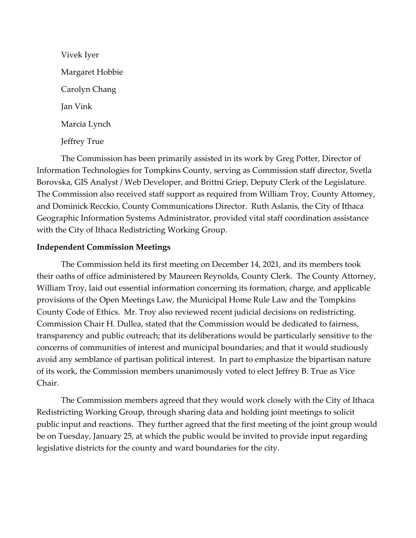Vivek Iyer Margaret Hobbie Carolyn Chang Jan Vink Marcia Lynch Jeffrey True

The Commission has been primarily assisted in its work by Greg Potter, Director of Information Technologies for Tompkins County, serving as Commission staff director, Svetla Borovska, GIS Analyst / Web Developer, and Brittni Griep, Deputy Clerk of the Legislature. The Commission also received staff support as required from William Troy, County Attorney, and Dominick Recckio, County Communications Director. Ruth Aslanis, the City of Ithaca Geographic Information Systems Administrator, provided vital staff coordination assistance with the City of Ithaca Redistricting Working Group.

## **Independent Commission Meetings**

The Commission held its first meeting on December 14, 2021, and its members took their oaths of office administered by Maureen Reynolds, County Clerk. The County Attorney, William Troy, laid out essential information concerning its formation, charge, and applicable provisions of the Open Meetings Law, the Municipal Home Rule Law and the Tompkins County Code of Ethics. Mr. Troy also reviewed recent judicial decisions on redistricting. Commission Chair H. Dullea, stated that the Commission would be dedicated to fairness, transparency and public outreach; that its deliberations would be particularly sensitive to the concerns of communities of interest and municipal boundaries; and that it would studiously avoid any semblance of partisan political interest. In part to emphasize the bipartisan nature of its work, the Commission members unanimously voted to elect Jeffrey B. True as Vice Chair.

The Commission members agreed that they would work closely with the City of Ithaca Redistricting Working Group, through sharing data and holding joint meetings to solicit public input and reactions. They further agreed that the first meeting of the joint group would be on Tuesday, January 25, at which the public would be invited to provide input regarding legislative districts for the county and ward boundaries for the city.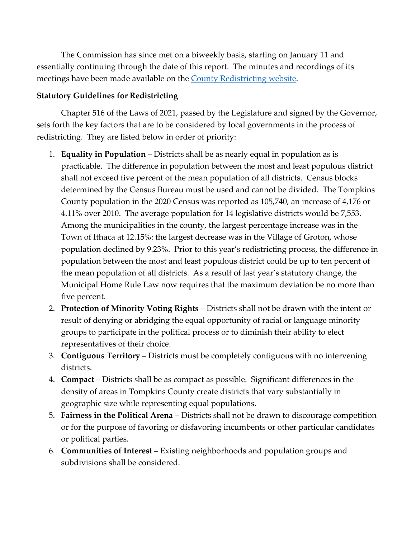The Commission has since met on a biweekly basis, starting on January 11 and essentially continuing through the date of this report. The minutes and recordings of its meetings have been made available on the [County Redistricting](https://www.tompkinscountyny.gov/redistricting) website.

# **Statutory Guidelines for Redistricting**

Chapter 516 of the Laws of 2021, passed by the Legislature and signed by the Governor, sets forth the key factors that are to be considered by local governments in the process of redistricting. They are listed below in order of priority:

- 1. **Equality in Population** Districts shall be as nearly equal in population as is practicable. The difference in population between the most and least populous district shall not exceed five percent of the mean population of all districts. Census blocks determined by the Census Bureau must be used and cannot be divided. The Tompkins County population in the 2020 Census was reported as 105,740, an increase of 4,176 or 4.11% over 2010. The average population for 14 legislative districts would be 7,553. Among the municipalities in the county, the largest percentage increase was in the Town of Ithaca at 12.15%: the largest decrease was in the Village of Groton, whose population declined by 9.23%. Prior to this year's redistricting process, the difference in population between the most and least populous district could be up to ten percent of the mean population of all districts. As a result of last year's statutory change, the Municipal Home Rule Law now requires that the maximum deviation be no more than five percent.
- 2. **Protection of Minority Voting Rights** Districts shall not be drawn with the intent or result of denying or abridging the equal opportunity of racial or language minority groups to participate in the political process or to diminish their ability to elect representatives of their choice.
- 3. **Contiguous Territory** Districts must be completely contiguous with no intervening districts.
- 4. **Compact** Districts shall be as compact as possible. Significant differences in the density of areas in Tompkins County create districts that vary substantially in geographic size while representing equal populations.
- 5. **Fairness in the Political Arena** Districts shall not be drawn to discourage competition or for the purpose of favoring or disfavoring incumbents or other particular candidates or political parties.
- 6. **Communities of Interest**  Existing neighborhoods and population groups and subdivisions shall be considered.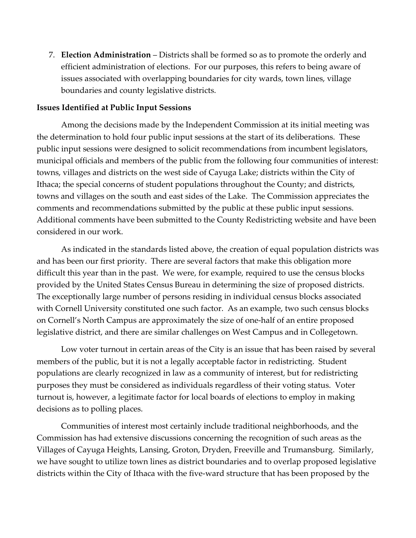7. **Election Administration** – Districts shall be formed so as to promote the orderly and efficient administration of elections. For our purposes, this refers to being aware of issues associated with overlapping boundaries for city wards, town lines, village boundaries and county legislative districts.

### **Issues Identified at Public Input Sessions**

Among the decisions made by the Independent Commission at its initial meeting was the determination to hold four public input sessions at the start of its deliberations. These public input sessions were designed to solicit recommendations from incumbent legislators, municipal officials and members of the public from the following four communities of interest: towns, villages and districts on the west side of Cayuga Lake; districts within the City of Ithaca; the special concerns of student populations throughout the County; and districts, towns and villages on the south and east sides of the Lake. The Commission appreciates the comments and recommendations submitted by the public at these public input sessions. Additional comments have been submitted to the County Redistricting website and have been considered in our work.

As indicated in the standards listed above, the creation of equal population districts was and has been our first priority. There are several factors that make this obligation more difficult this year than in the past. We were, for example, required to use the census blocks provided by the United States Census Bureau in determining the size of proposed districts. The exceptionally large number of persons residing in individual census blocks associated with Cornell University constituted one such factor. As an example, two such census blocks on Cornell's North Campus are approximately the size of one-half of an entire proposed legislative district, and there are similar challenges on West Campus and in Collegetown.

Low voter turnout in certain areas of the City is an issue that has been raised by several members of the public, but it is not a legally acceptable factor in redistricting. Student populations are clearly recognized in law as a community of interest, but for redistricting purposes they must be considered as individuals regardless of their voting status. Voter turnout is, however, a legitimate factor for local boards of elections to employ in making decisions as to polling places.

Communities of interest most certainly include traditional neighborhoods, and the Commission has had extensive discussions concerning the recognition of such areas as the Villages of Cayuga Heights, Lansing, Groton, Dryden, Freeville and Trumansburg. Similarly, we have sought to utilize town lines as district boundaries and to overlap proposed legislative districts within the City of Ithaca with the five-ward structure that has been proposed by the